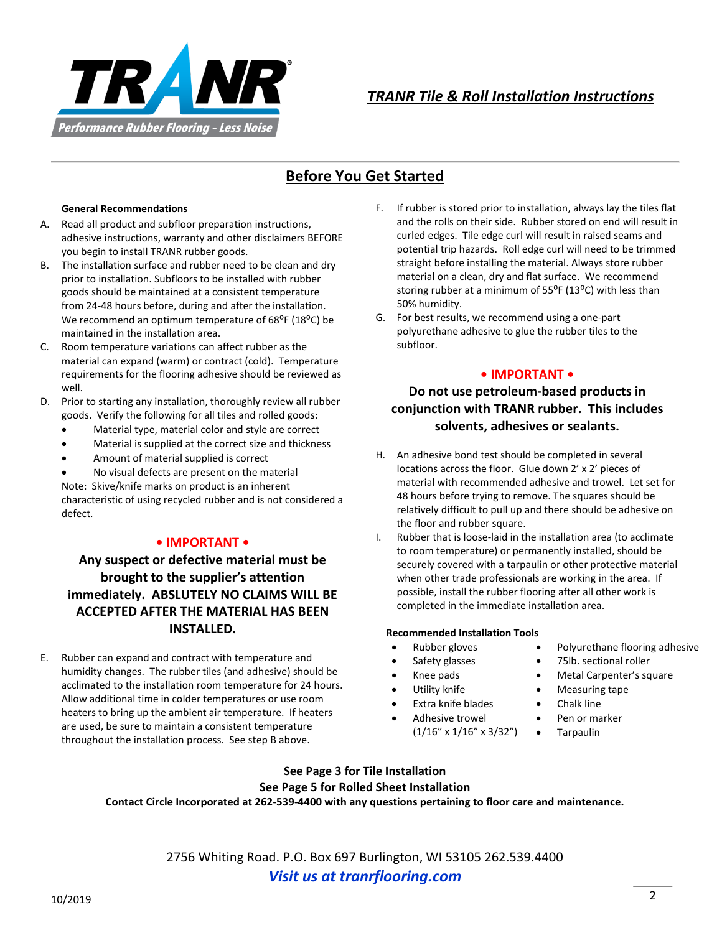

# **Before You Get Started**

#### **General Recommendations**

- A. Read all product and subfloor preparation instructions, adhesive instructions, warranty and other disclaimers BEFORE you begin to install TRANR rubber goods.
- B. The installation surface and rubber need to be clean and dry prior to installation. Subfloors to be installed with rubber goods should be maintained at a consistent temperature from 24-48 hours before, during and after the installation. We recommend an optimum temperature of 68<sup>o</sup>F (18<sup>o</sup>C) be maintained in the installation area.
- C. Room temperature variations can affect rubber as the material can expand (warm) or contract (cold). Temperature requirements for the flooring adhesive should be reviewed as well.
- D. Prior to starting any installation, thoroughly review all rubber goods. Verify the following for all tiles and rolled goods:
	- Material type, material color and style are correct
	- Material is supplied at the correct size and thickness
	- Amount of material supplied is correct

 No visual defects are present on the material Note: Skive/knife marks on product is an inherent characteristic of using recycled rubber and is not considered a defect.

### **• IMPORTANT •**

### **Any suspect or defective material must be brought to the supplier's attention immediately. ABSLUTELY NO CLAIMS WILL BE ACCEPTED AFTER THE MATERIAL HAS BEEN INSTALLED.**

E. Rubber can expand and contract with temperature and humidity changes. The rubber tiles (and adhesive) should be acclimated to the installation room temperature for 24 hours. Allow additional time in colder temperatures or use room heaters to bring up the ambient air temperature. If heaters are used, be sure to maintain a consistent temperature throughout the installation process. See step B above.

- F. If rubber is stored prior to installation, always lay the tiles flat and the rolls on their side. Rubber stored on end will result in curled edges. Tile edge curl will result in raised seams and potential trip hazards. Roll edge curl will need to be trimmed straight before installing the material. Always store rubber material on a clean, dry and flat surface. We recommend storing rubber at a minimum of 55°F (13°C) with less than 50% humidity.
- G. For best results, we recommend using a one-part polyurethane adhesive to glue the rubber tiles to the subfloor.

### **• IMPORTANT •**

### **Do not use petroleum-based products in conjunction with TRANR rubber. This includes solvents, adhesives or sealants.**

- H. An adhesive bond test should be completed in several locations across the floor. Glue down 2' x 2' pieces of material with recommended adhesive and trowel. Let set for 48 hours before trying to remove. The squares should be relatively difficult to pull up and there should be adhesive on the floor and rubber square.
- I. Rubber that is loose-laid in the installation area (to acclimate to room temperature) or permanently installed, should be securely covered with a tarpaulin or other protective material when other trade professionals are working in the area. If possible, install the rubber flooring after all other work is completed in the immediate installation area.

#### **Recommended Installation Tools**

- 
- 
- 
- 
- Extra knife blades **•** Chalk line
- Adhesive trowel Pen or marker (1/16" x 1/16" x 3/32") Tarpaulin
- Rubber gloves Polyurethane flooring adhesive
- Safety glasses 75lb. sectional roller
- Knee pads **Carpenter's square**
- Utility knife **Conserverse Conserverse Conserverse Conserverse Conserverse Conserverse Conserverse Conserverse** 
	-
	-
	-

### **See Page 3 for Tile Installation See Page 5 for Rolled Sheet Installation Contact Circle Incorporated at 262-539-4400 with any questions pertaining to floor care and maintenance.**

2756 Whiting Road. P.O. Box 697 Burlington, WI 53105 262.539.4400 *Visit us at tranrflooring.com*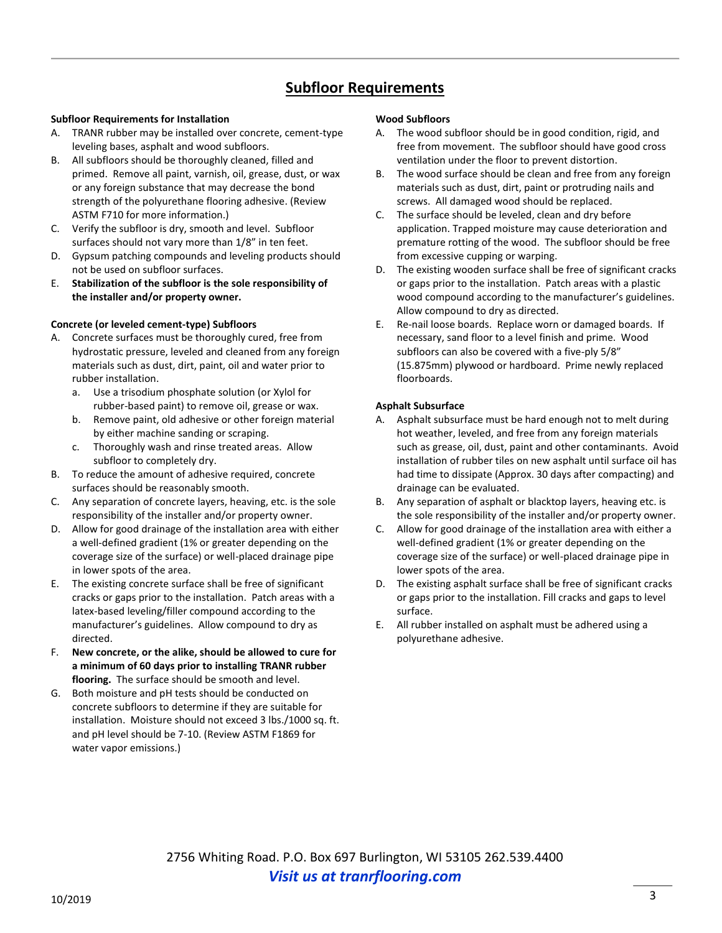## **Subfloor Requirements**

#### **Subfloor Requirements for Installation**

- A. TRANR rubber may be installed over concrete, cement-type leveling bases, asphalt and wood subfloors.
- B. All subfloors should be thoroughly cleaned, filled and primed. Remove all paint, varnish, oil, grease, dust, or wax or any foreign substance that may decrease the bond strength of the polyurethane flooring adhesive. (Review ASTM F710 for more information.)
- C. Verify the subfloor is dry, smooth and level. Subfloor surfaces should not vary more than 1/8" in ten feet.
- D. Gypsum patching compounds and leveling products should not be used on subfloor surfaces.
- E. **Stabilization of the subfloor is the sole responsibility of the installer and/or property owner.**

#### **Concrete (or leveled cement-type) Subfloors**

- A. Concrete surfaces must be thoroughly cured, free from hydrostatic pressure, leveled and cleaned from any foreign materials such as dust, dirt, paint, oil and water prior to rubber installation.
	- a. Use a trisodium phosphate solution (or Xylol for rubber-based paint) to remove oil, grease or wax.
	- b. Remove paint, old adhesive or other foreign material by either machine sanding or scraping.
	- c. Thoroughly wash and rinse treated areas. Allow subfloor to completely dry.
- B. To reduce the amount of adhesive required, concrete surfaces should be reasonably smooth.
- C. Any separation of concrete layers, heaving, etc. is the sole responsibility of the installer and/or property owner.
- D. Allow for good drainage of the installation area with either a well-defined gradient (1% or greater depending on the coverage size of the surface) or well-placed drainage pipe in lower spots of the area.
- E. The existing concrete surface shall be free of significant cracks or gaps prior to the installation. Patch areas with a latex-based leveling/filler compound according to the manufacturer's guidelines. Allow compound to dry as directed.
- F. **New concrete, or the alike, should be allowed to cure for a minimum of 60 days prior to installing TRANR rubber flooring.** The surface should be smooth and level.
- G. Both moisture and pH tests should be conducted on concrete subfloors to determine if they are suitable for installation. Moisture should not exceed 3 lbs./1000 sq. ft. and pH level should be 7-10. (Review ASTM F1869 for water vapor emissions.)

#### **Wood Subfloors**

- A. The wood subfloor should be in good condition, rigid, and free from movement. The subfloor should have good cross ventilation under the floor to prevent distortion.
- B. The wood surface should be clean and free from any foreign materials such as dust, dirt, paint or protruding nails and screws. All damaged wood should be replaced.
- C. The surface should be leveled, clean and dry before application. Trapped moisture may cause deterioration and premature rotting of the wood. The subfloor should be free from excessive cupping or warping.
- D. The existing wooden surface shall be free of significant cracks or gaps prior to the installation. Patch areas with a plastic wood compound according to the manufacturer's guidelines. Allow compound to dry as directed.
- E. Re-nail loose boards. Replace worn or damaged boards. If necessary, sand floor to a level finish and prime. Wood subfloors can also be covered with a five-ply 5/8" (15.875mm) plywood or hardboard. Prime newly replaced floorboards.

#### **Asphalt Subsurface**

- A. Asphalt subsurface must be hard enough not to melt during hot weather, leveled, and free from any foreign materials such as grease, oil, dust, paint and other contaminants. Avoid installation of rubber tiles on new asphalt until surface oil has had time to dissipate (Approx. 30 days after compacting) and drainage can be evaluated.
- B. Any separation of asphalt or blacktop layers, heaving etc. is the sole responsibility of the installer and/or property owner.
- C. Allow for good drainage of the installation area with either a well-defined gradient (1% or greater depending on the coverage size of the surface) or well-placed drainage pipe in lower spots of the area.
- D. The existing asphalt surface shall be free of significant cracks or gaps prior to the installation. Fill cracks and gaps to level surface.
- E. All rubber installed on asphalt must be adhered using a polyurethane adhesive.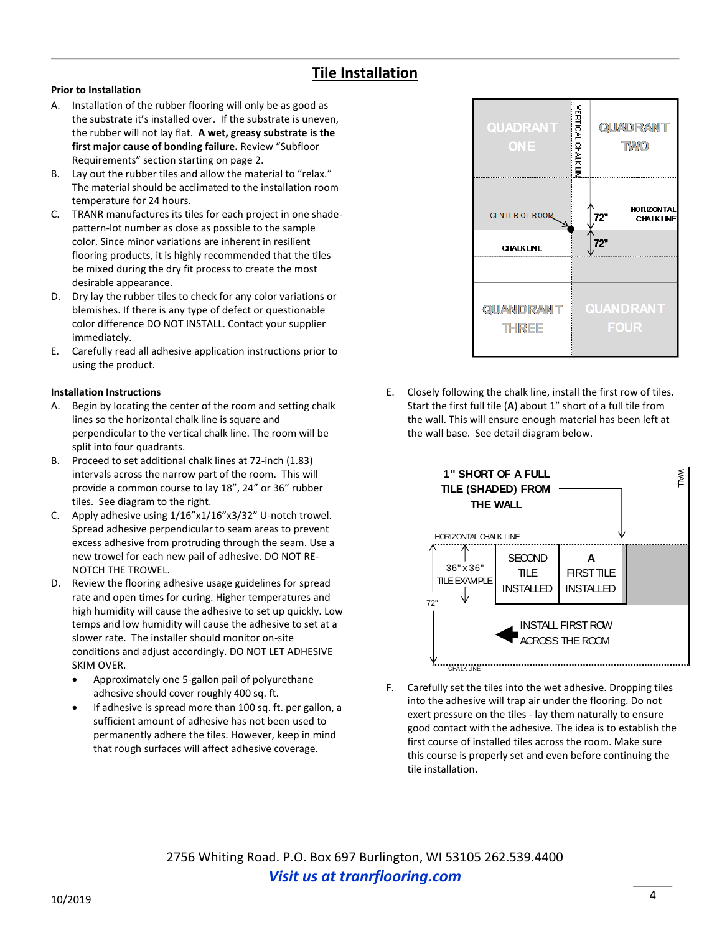## **Tile Installation**

### **Prior to Installation**

- A. Installation of the rubber flooring will only be as good as the substrate it's installed over. If the substrate is uneven, the rubber will not lay flat. **A wet, greasy substrate is the first major cause of bonding failure.** Review "Subfloor Requirements" section starting on page 2.
- B. Lay out the rubber tiles and allow the material to "relax." The material should be acclimated to the installation room temperature for 24 hours.
- C. TRANR manufactures its tiles for each project in one shadepattern-lot number as close as possible to the sample color. Since minor variations are inherent in resilient flooring products, it is highly recommended that the tiles be mixed during the dry fit process to create the most desirable appearance.
- D. Dry lay the rubber tiles to check for any color variations or blemishes. If there is any type of defect or questionable color difference DO NOT INSTALL. Contact your supplier immediately.
- E. Carefully read all adhesive application instructions prior to using the product.

#### **Installation Instructions**

- A. Begin by locating the center of the room and setting chalk lines so the horizontal chalk line is square and perpendicular to the vertical chalk line. The room will be split into four quadrants.
- B. Proceed to set additional chalk lines at 72-inch (1.83) intervals across the narrow part of the room. This will provide a common course to lay 18", 24" or 36" rubber tiles. See diagram to the right.
- C. Apply adhesive using 1/16"x1/16"x3/32" U-notch trowel. Spread adhesive perpendicular to seam areas to prevent excess adhesive from protruding through the seam. Use a new trowel for each new pail of adhesive. DO NOT RE-NOTCH THE TROWEL.
- D. Review the flooring adhesive usage guidelines for spread rate and open times for curing. Higher temperatures and high humidity will cause the adhesive to set up quickly. Low temps and low humidity will cause the adhesive to set at a slower rate. The installer should monitor on-site conditions and adjust accordingly. DO NOT LET ADHESIVE SKIM OVER.
	- Approximately one 5-gallon pail of polyurethane adhesive should cover roughly 400 sq. ft.
	- If adhesive is spread more than 100 sq. ft. per gallon, a sufficient amount of adhesive has not been used to permanently adhere the tiles. However, keep in mind that rough surfaces will affect adhesive coverage.



E. Closely following the chalk line, install the first row of tiles. Start the first full tile (**A**) about 1" short of a full tile from the wall. This will ensure enough material has been left at the wall base. See detail diagram below.



F. Carefully set the tiles into the wet adhesive. Dropping tiles into the adhesive will trap air under the flooring. Do not exert pressure on the tiles - lay them naturally to ensure good contact with the adhesive. The idea is to establish the first course of installed tiles across the room. Make sure this course is properly set and even before continuing the tile installation.

2756 Whiting Road. P.O. Box 697 Burlington, WI 53105 262.539.4400 *Visit us at tranrflooring.com*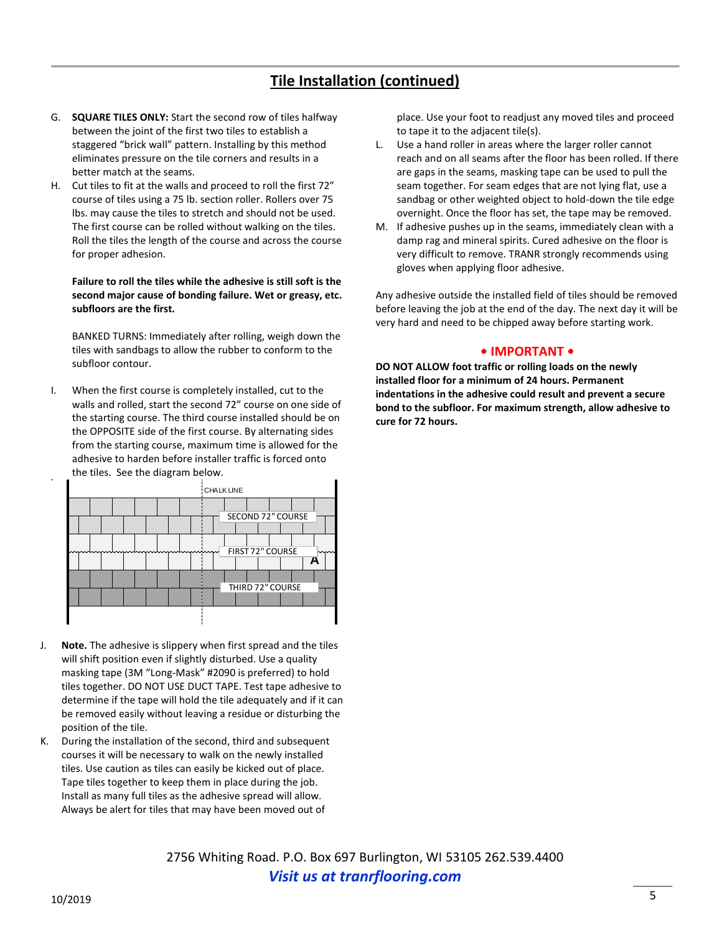# **Tile Installation (continued)**

- G. **SQUARE TILES ONLY:** Start the second row of tiles halfway between the joint of the first two tiles to establish a staggered "brick wall" pattern. Installing by this method eliminates pressure on the tile corners and results in a better match at the seams.
- H. Cut tiles to fit at the walls and proceed to roll the first 72" course of tiles using a 75 lb. section roller. Rollers over 75 lbs. may cause the tiles to stretch and should not be used. The first course can be rolled without walking on the tiles. Roll the tiles the length of the course and across the course for proper adhesion.

#### **Failure to roll the tiles while the adhesive is still soft is the second major cause of bonding failure. Wet or greasy, etc. subfloors are the first.**

BANKED TURNS: Immediately after rolling, weigh down the tiles with sandbags to allow the rubber to conform to the subfloor contour.

I. When the first course is completely installed, cut to the walls and rolled, start the second 72" course on one side of the starting course. The third course installed should be on the OPPOSITE side of the first course. By alternating sides from the starting course, maximum time is allowed for the adhesive to harden before installer traffic is forced onto the tiles. See the diagram below.



- J. **Note.** The adhesive is slippery when first spread and the tiles will shift position even if slightly disturbed. Use a quality masking tape (3M "Long-Mask" #2090 is preferred) to hold tiles together. DO NOT USE DUCT TAPE. Test tape adhesive to determine if the tape will hold the tile adequately and if it can be removed easily without leaving a residue or disturbing the position of the tile.
- K. During the installation of the second, third and subsequent courses it will be necessary to walk on the newly installed tiles. Use caution as tiles can easily be kicked out of place. Tape tiles together to keep them in place during the job. Install as many full tiles as the adhesive spread will allow. Always be alert for tiles that may have been moved out of

place. Use your foot to readjust any moved tiles and proceed to tape it to the adjacent tile(s).

- L. Use a hand roller in areas where the larger roller cannot reach and on all seams after the floor has been rolled. If there are gaps in the seams, masking tape can be used to pull the seam together. For seam edges that are not lying flat, use a sandbag or other weighted object to hold-down the tile edge overnight. Once the floor has set, the tape may be removed.
- M. If adhesive pushes up in the seams, immediately clean with a damp rag and mineral spirits. Cured adhesive on the floor is very difficult to remove. TRANR strongly recommends using gloves when applying floor adhesive.

Any adhesive outside the installed field of tiles should be removed before leaving the job at the end of the day. The next day it will be very hard and need to be chipped away before starting work.

#### **• IMPORTANT •**

**DO NOT ALLOW foot traffic or rolling loads on the newly installed floor for a minimum of 24 hours. Permanent indentations in the adhesive could result and prevent a secure bond to the subfloor. For maximum strength, allow adhesive to cure for 72 hours.**

2756 Whiting Road. P.O. Box 697 Burlington, WI 53105 262.539.4400 *Visit us at tranrflooring.com*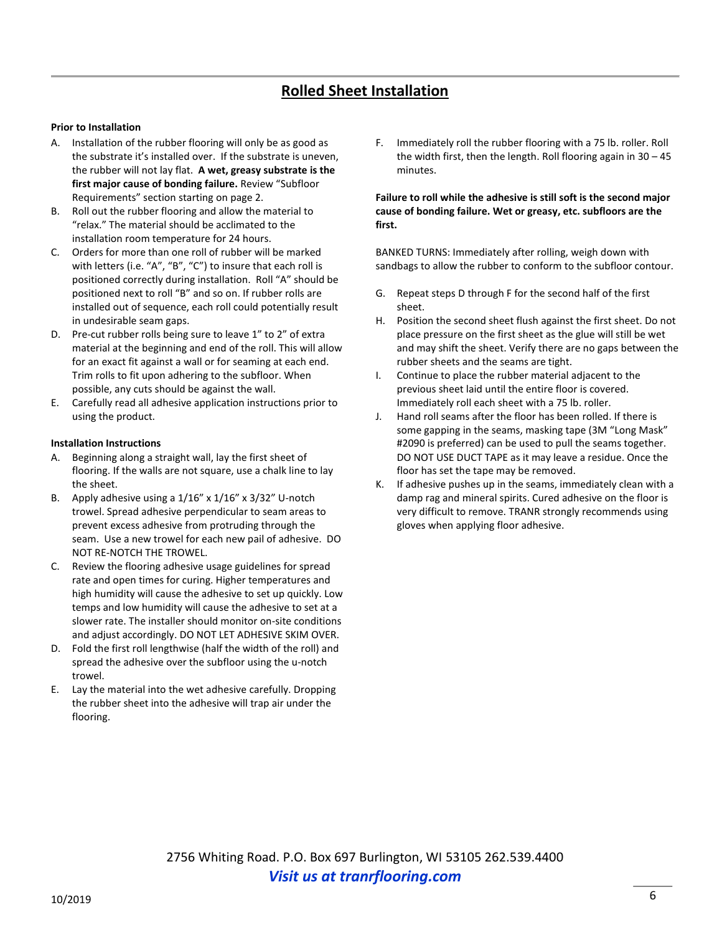# **Rolled Sheet Installation**

#### **Prior to Installation**

- A. Installation of the rubber flooring will only be as good as the substrate it's installed over. If the substrate is uneven, the rubber will not lay flat. **A wet, greasy substrate is the first major cause of bonding failure.** Review "Subfloor Requirements" section starting on page 2.
- B. Roll out the rubber flooring and allow the material to "relax." The material should be acclimated to the installation room temperature for 24 hours.
- C. Orders for more than one roll of rubber will be marked with letters (i.e. "A", "B", "C") to insure that each roll is positioned correctly during installation. Roll "A" should be positioned next to roll "B" and so on. If rubber rolls are installed out of sequence, each roll could potentially result in undesirable seam gaps.
- D. Pre-cut rubber rolls being sure to leave 1" to 2" of extra material at the beginning and end of the roll. This will allow for an exact fit against a wall or for seaming at each end. Trim rolls to fit upon adhering to the subfloor. When possible, any cuts should be against the wall.
- E. Carefully read all adhesive application instructions prior to using the product.

#### **Installation Instructions**

- A. Beginning along a straight wall, lay the first sheet of flooring. If the walls are not square, use a chalk line to lay the sheet.
- B. Apply adhesive using a 1/16" x 1/16" x 3/32" U-notch trowel. Spread adhesive perpendicular to seam areas to prevent excess adhesive from protruding through the seam. Use a new trowel for each new pail of adhesive. DO NOT RE-NOTCH THE TROWEL.
- C. Review the flooring adhesive usage guidelines for spread rate and open times for curing. Higher temperatures and high humidity will cause the adhesive to set up quickly. Low temps and low humidity will cause the adhesive to set at a slower rate. The installer should monitor on-site conditions and adjust accordingly. DO NOT LET ADHESIVE SKIM OVER.
- D. Fold the first roll lengthwise (half the width of the roll) and spread the adhesive over the subfloor using the u-notch trowel.
- E. Lay the material into the wet adhesive carefully. Dropping the rubber sheet into the adhesive will trap air under the flooring.

F. Immediately roll the rubber flooring with a 75 lb. roller. Roll the width first, then the length. Roll flooring again in 30 – 45 minutes.

#### **Failure to roll while the adhesive is still soft is the second major cause of bonding failure. Wet or greasy, etc. subfloors are the first.**

BANKED TURNS: Immediately after rolling, weigh down with sandbags to allow the rubber to conform to the subfloor contour.

- G. Repeat steps D through F for the second half of the first sheet.
- H. Position the second sheet flush against the first sheet. Do not place pressure on the first sheet as the glue will still be wet and may shift the sheet. Verify there are no gaps between the rubber sheets and the seams are tight.
- I. Continue to place the rubber material adjacent to the previous sheet laid until the entire floor is covered. Immediately roll each sheet with a 75 lb. roller.
- J. Hand roll seams after the floor has been rolled. If there is some gapping in the seams, masking tape (3M "Long Mask" #2090 is preferred) can be used to pull the seams together. DO NOT USE DUCT TAPE as it may leave a residue. Once the floor has set the tape may be removed.
- K. If adhesive pushes up in the seams, immediately clean with a damp rag and mineral spirits. Cured adhesive on the floor is very difficult to remove. TRANR strongly recommends using gloves when applying floor adhesive.